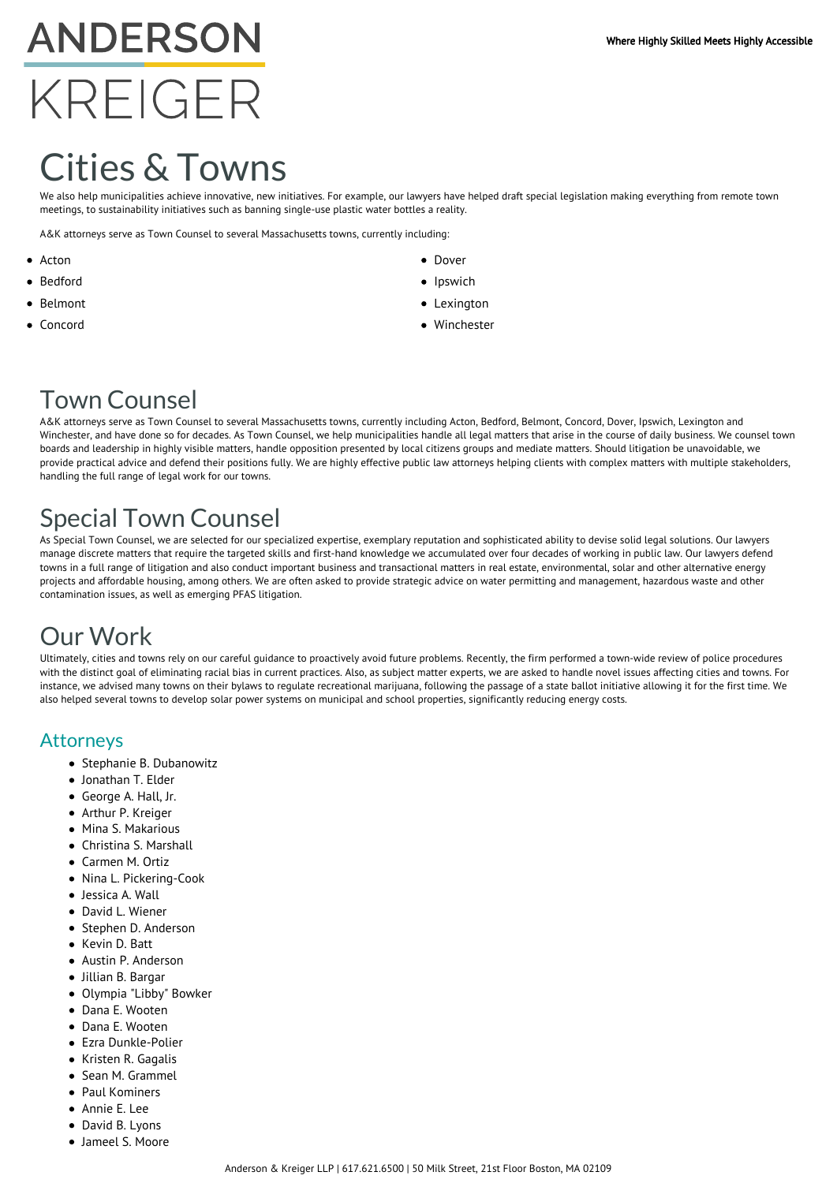# **ANDERSON** KREIGER

## Cities & Towns

We also help municipalities achieve innovative, new initiatives. For example, our lawyers have helped draft special legislation making everything from remote town meetings, to sustainability initiatives such as banning single-use plastic water bottles a reality.

A&K attorneys serve as Town Counsel to several Massachusetts towns, currently including:

- $\bullet$  Acton
- Bedford
- Belmont
- Concord
- **•** Dover
- Ipswich
- Lexington
- Winchester

### Town Counsel

A&K attorneys serve as Town Counsel to several Massachusetts towns, currently including Acton, Bedford, Belmont, Concord, Dover, Ipswich, Lexington and Winchester, and have done so for decades. As Town Counsel, we help municipalities handle all legal matters that arise in the course of daily business. We counsel town boards and leadership in highly visible matters, handle opposition presented by local citizens groups and mediate matters. Should litigation be unavoidable, we provide practical advice and defend their positions fully. We are highly effective public law attorneys helping clients with complex matters with multiple stakeholders, handling the full range of legal work for our towns.

## Special Town Counsel

As Special Town Counsel, we are selected for our specialized expertise, exemplary reputation and sophisticated ability to devise solid legal solutions. Our lawyers manage discrete matters that require the targeted skills and first-hand knowledge we accumulated over four decades of working in public law. Our lawyers defend towns in a full range of litigation and also conduct important business and transactional matters in real estate, environmental, solar and other alternative energy projects and affordable housing, among others. We are often asked to provide strategic advice on water permitting and management, hazardous waste and other contamination issues, as well as emerging PFAS litigation.

#### Our Work

Ultimately, cities and towns rely on our careful guidance to proactively avoid future problems. Recently, the firm performed a town-wide review of police procedures with the distinct goal of eliminating racial bias in current practices. Also, as subject matter experts, we are asked to handle novel issues affecting cities and towns. For instance, we advised many towns on their bylaws to regulate recreational marijuana, following the passage of a state ballot initiative allowing it for the first time. We also helped several towns to develop solar power systems on municipal and school properties, significantly reducing energy costs.

#### Attorneys

- Stephanie B. Dubanowitz
- Jonathan T. Elder
- George A. Hall, Jr.
- Arthur P. Kreiger
- Mina S. Makarious
- Christina S. Marshall
- Carmen M. Ortiz
- Nina L. Pickering-Cook
- Jessica A. Wall
- David L. Wiener
- Stephen D. Anderson
- Kevin D. Batt
- Austin P. Anderson
- Jillian B. Bargar
- Olympia "Libby" Bowker
- Dana E. Wooten
- Dana E. Wooten
- Ezra Dunkle-Polier
- Kristen R. Gagalis
- Sean M. Grammel
- Paul Kominers
- Annie E. Lee
- David B. Lyons
- Jameel S. Moore